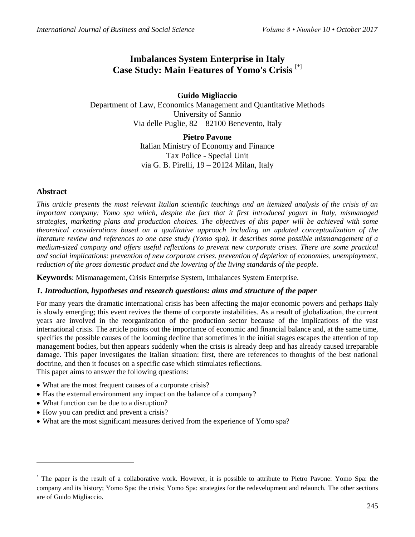# **Imbalances System Enterprise in Italy Case Study: Main Features of Yomo's Crisis** [\*]

**Guido Migliaccio** Department of Law, Economics Management and Quantitative Methods University of Sannio Via delle Puglie, 82 – 82100 Benevento, Italy

> **Pietro Pavone** Italian Ministry of Economy and Finance Tax Police - Special Unit via G. B. Pirelli, 19 – 20124 Milan, Italy

# **Abstract**

**.** 

*This article presents the most relevant Italian scientific teachings and an itemized analysis of the crisis of an important company: Yomo spa which, despite the fact that it first introduced yogurt in Italy, mismanaged strategies, marketing plans and production choices. The objectives of this paper will be achieved with some theoretical considerations based on a qualitative approach including an updated conceptualization of the literature review and references to one case study (Yomo spa). It describes some possible mismanagement of a medium-sized company and offers useful reflections to prevent new corporate crises. There are some practical and social implications: prevention of new corporate crises. prevention of depletion of economies, unemployment, reduction of the gross domestic product and the lowering of the living standards of the people.*

**Keywords**: Mismanagement, Crisis Enterprise System, Imbalances System Enterprise.

# *1. Introduction, hypotheses and research questions: aims and structure of the paper*

For many years the dramatic international crisis has been affecting the major economic powers and perhaps Italy is slowly emerging; this event revives the theme of corporate instabilities. As a result of globalization, the current years are involved in the reorganization of the production sector because of the implications of the vast international crisis. The article points out the importance of economic and financial balance and, at the same time, specifies the possible causes of the looming decline that sometimes in the initial stages escapes the attention of top management bodies, but then appears suddenly when the crisis is already deep and has already caused irreparable damage. This paper investigates the Italian situation: first, there are references to thoughts of the best national doctrine, and then it focuses on a specific case which stimulates reflections.

This paper aims to answer the following questions:

- What are the most frequent causes of a corporate crisis?
- Has the external environment any impact on the balance of a company?
- What function can be due to a disruption?
- How you can predict and prevent a crisis?
- What are the most significant measures derived from the experience of Yomo spa?

<sup>\*</sup> The paper is the result of a collaborative work. However, it is possible to attribute to Pietro Pavone: Yomo Spa: the company and its history; Yomo Spa: the crisis; Yomo Spa: strategies for the redevelopment and relaunch. The other sections are of Guido Migliaccio.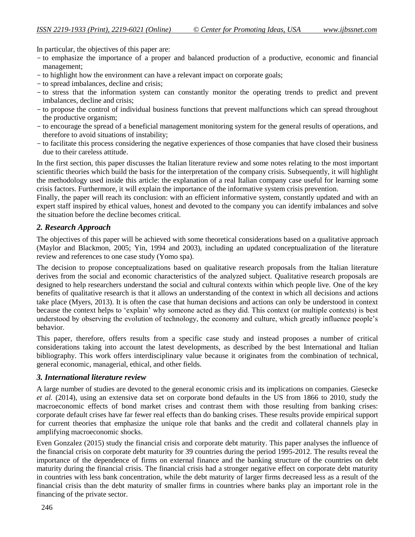In particular, the objectives of this paper are:

- to emphasize the importance of a proper and balanced production of a productive, economic and financial management;
- to highlight how the environment can have a relevant impact on corporate goals;
- to spread imbalances, decline and crisis;
- to stress that the information system can constantly monitor the operating trends to predict and prevent imbalances, decline and crisis;
- to propose the control of individual business functions that prevent malfunctions which can spread throughout the productive organism;
- to encourage the spread of a beneficial management monitoring system for the general results of operations, and therefore to avoid situations of instability;
- to facilitate this process considering the negative experiences of those companies that have closed their business due to their careless attitude.

In the first section, this paper discusses the Italian literature review and some notes relating to the most important scientific theories which build the basis for the interpretation of the company crisis. Subsequently, it will highlight the methodology used inside this article: the explanation of a real Italian company case useful for learning some crisis factors. Furthermore, it will explain the importance of the informative system crisis prevention.

Finally, the paper will reach its conclusion: with an efficient informative system, constantly updated and with an expert staff inspired by ethical values, honest and devoted to the company you can identify imbalances and solve the situation before the decline becomes critical.

# *2. Research Approach*

The objectives of this paper will be achieved with some theoretical considerations based on a qualitative approach (Maylor and Blackmon, 2005; Yin, 1994 and 2003), including an updated conceptualization of the literature review and references to one case study (Yomo spa).

The decision to propose conceptualizations based on qualitative research proposals from the Italian literature derives from the social and economic characteristics of the analyzed subject. Qualitative research proposals are designed to help researchers understand the social and cultural contexts within which people live. One of the key benefits of qualitative research is that it allows an understanding of the context in which all decisions and actions take place (Myers, 2013). It is often the case that human decisions and actions can only be understood in context because the context helps to "explain" why someone acted as they did. This context (or multiple contexts) is best understood by observing the evolution of technology, the economy and culture, which greatly influence people"s behavior.

This paper, therefore, offers results from a specific case study and instead proposes a number of critical considerations taking into account the latest developments, as described by the best International and Italian bibliography. This work offers interdisciplinary value because it originates from the combination of technical, general economic, managerial, ethical, and other fields.

# *3. International literature review*

A large number of studies are devoted to the general economic crisis and its implications on companies. Giesecke *et al.* (2014), using an extensive data set on corporate bond defaults in the US from 1866 to 2010, study the macroeconomic effects of bond market crises and contrast them with those resulting from banking crises: corporate default crises have far fewer real effects than do banking crises. These results provide empirical support for current theories that emphasize the unique role that banks and the credit and collateral channels play in amplifying macroeconomic shocks.

Even Gonzalez (2015) study the financial crisis and corporate debt maturity. This paper analyses the influence of the financial crisis on corporate debt maturity for 39 countries during the period 1995-2012. The results reveal the importance of the dependence of firms on external finance and the banking structure of the countries on debt maturity during the financial crisis. The financial crisis had a stronger negative effect on corporate debt maturity in countries with less bank concentration, while the debt maturity of larger firms decreased less as a result of the financial crisis than the debt maturity of smaller firms in countries where banks play an important role in the financing of the private sector.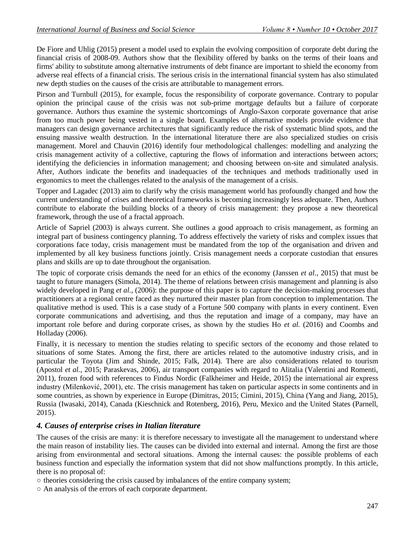De Fiore and Uhlig (2015) present a model used to explain the evolving composition of corporate debt during the financial crisis of 2008-09. Authors show that the flexibility offered by banks on the terms of their loans and firms' ability to substitute among alternative instruments of debt finance are important to shield the economy from adverse real effects of a financial crisis. The serious crisis in the international financial system has also stimulated new depth studies on the causes of the crisis are attributable to management errors.

Pirson and Turnbull (2015), for example, focus the responsibility of corporate governance. Contrary to popular opinion the principal cause of the crisis was not sub-prime mortgage defaults but a failure of corporate governance. Authors thus examine the systemic shortcomings of Anglo-Saxon corporate governance that arise from too much power being vested in a single board. Examples of alternative models provide evidence that managers can design governance architectures that significantly reduce the risk of systematic blind spots, and the ensuing massive wealth destruction. In the international literature there are also specialized studies on crisis management. Morel and Chauvin (2016) identify four methodological challenges: modelling and analyzing the crisis management activity of a collective, capturing the flows of information and interactions between actors; identifying the deficiencies in information management; and choosing between on-site and simulated analysis. After, Authors indicate the benefits and inadequacies of the techniques and methods traditionally used in ergonomics to meet the challenges related to the analysis of the management of a crisis.

Topper and Lagadec (2013) aim to clarify why the crisis management world has profoundly changed and how the current understanding of crises and theoretical frameworks is becoming increasingly less adequate. Then, Authors contribute to elaborate the building blocks of a theory of crisis management: they propose a new theoretical framework, through the use of a fractal approach.

Article of Sapriel (2003) is always current. She outlines a good approach to crisis management, as forming an integral part of business contingency planning. To address effectively the variety of risks and complex issues that corporations face today, crisis management must be mandated from the top of the organisation and driven and implemented by all key business functions jointly. Crisis management needs a corporate custodian that ensures plans and skills are up to date throughout the organisation.

The topic of corporate crisis demands the need for an ethics of the economy (Janssen *et al.*, 2015) that must be taught to future managers (Simola, 2014). The theme of relations between crisis management and planning is also widely developed in Pang *et al.*, (2006): the purpose of this paper is to capture the decision-making processes that practitioners at a regional centre faced as they nurtured their master plan from conception to implementation. The qualitative method is used. This is a case study of a Fortune 500 company with plants in every continent. Even corporate communications and advertising, and thus the reputation and image of a company, may have an important role before and during corporate crises, as shown by the studies Ho *et al.* (2016) and Coombs and Holladay (2006).

Finally, it is necessary to mention the studies relating to specific sectors of the economy and those related to situations of some States. Among the first, there are articles related to the automotive industry crisis, and in particular the Toyota (Jim and Shinde, 2015; Falk, 2014). There are also considerations related to tourism (Apostol *et al.*, 2015; Paraskevas, 2006), air transport companies with regard to Alitalia (Valentini and Romenti, 2011), frozen food with references to Findus Nordic (Falkheimer and Heide, 2015) the international air express industry (Milenković, 2001), etc. The crisis management has taken on particular aspects in some continents and in some countries, as shown by experience in Europe (Dimitras, 2015; Cimini, 2015), China (Yang and Jiang, 2015), Russia (Iwasaki, 2014), Canada (Kieschnick and Rotenberg, 2016), Peru, Mexico and the United States (Parnell, 2015).

# *4. Causes of enterprise crises in Italian literature*

The causes of the crisis are many: it is therefore necessary to investigate all the management to understand where the main reason of instability lies. The causes can be divided into external and internal. Among the first are those arising from environmental and sectoral situations. Among the internal causes: the possible problems of each business function and especially the information system that did not show malfunctions promptly. In this article, there is no proposal of:

○ theories considering the crisis caused by imbalances of the entire company system;

○ An analysis of the errors of each corporate department.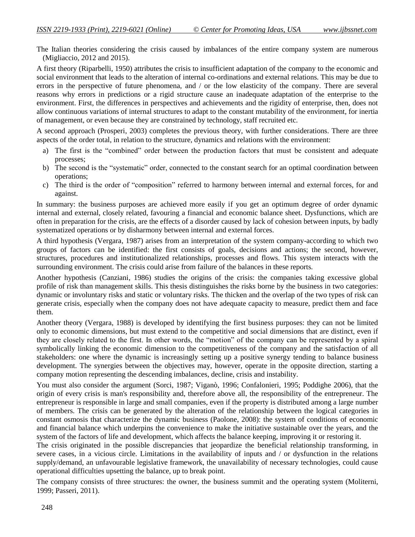The Italian theories considering the crisis caused by imbalances of the entire company system are numerous (Migliaccio, 2012 and 2015).

A first theory (Riparbelli, 1950) attributes the crisis to insufficient adaptation of the company to the economic and social environment that leads to the alteration of internal co-ordinations and external relations. This may be due to errors in the perspective of future phenomena, and / or the low elasticity of the company. There are several reasons why errors in predictions or a rigid structure cause an inadequate adaptation of the enterprise to the environment. First, the differences in perspectives and achievements and the rigidity of enterprise, then, does not allow continuous variations of internal structures to adapt to the constant mutability of the environment, for inertia of management, or even because they are constrained by technology, staff recruited etc.

A second approach (Prosperi, 2003) completes the previous theory, with further considerations. There are three aspects of the order total, in relation to the structure, dynamics and relations with the environment:

- a) The first is the "combined" order between the production factors that must be consistent and adequate processes;
- b) The second is the "systematic" order, connected to the constant search for an optimal coordination between operations;
- c) The third is the order of "composition" referred to harmony between internal and external forces, for and against.

In summary: the business purposes are achieved more easily if you get an optimum degree of order dynamic internal and external, closely related, favouring a financial and economic balance sheet. Dysfunctions, which are often in preparation for the crisis, are the effects of a disorder caused by lack of cohesion between inputs, by badly systematized operations or by disharmony between internal and external forces.

A third hypothesis (Vergara, 1987) arises from an interpretation of the system company-according to which two groups of factors can be identified: the first consists of goals, decisions and actions; the second, however, structures, procedures and institutionalized relationships, processes and flows. This system interacts with the surrounding environment. The crisis could arise from failure of the balances in these reports.

Another hypothesis (Canziani, 1986) studies the origins of the crisis: the companies taking excessive global profile of risk than management skills. This thesis distinguishes the risks borne by the business in two categories: dynamic or involuntary risks and static or voluntary risks. The thicken and the overlap of the two types of risk can generate crisis, especially when the company does not have adequate capacity to measure, predict them and face them.

Another theory (Vergara, 1988) is developed by identifying the first business purposes: they can not be limited only to economic dimensions, but must extend to the competitive and social dimensions that are distinct, even if they are closely related to the first. In other words, the "motion" of the company can be represented by a spiral symbolically linking the economic dimension to the competitiveness of the company and the satisfaction of all stakeholders: one where the dynamic is increasingly setting up a positive synergy tending to balance business development. The synergies between the objectives may, however, operate in the opposite direction, starting a company motion representing the descending imbalances, decline, crisis and instability.

You must also consider the argument (Sorci, 1987; Viganò, 1996; Confalonieri, 1995; Poddighe 2006), that the origin of every crisis is man's responsibility and, therefore above all, the responsibility of the entrepreneur. The entrepreneur is responsible in large and small companies, even if the property is distributed among a large number of members. The crisis can be generated by the alteration of the relationship between the logical categories in constant osmosis that characterize the dynamic business (Paolone, 2008): the system of conditions of economic and financial balance which underpins the convenience to make the initiative sustainable over the years, and the system of the factors of life and development, which affects the balance keeping, improving it or restoring it.

The crisis originated in the possible discrepancies that jeopardize the beneficial relationship transforming, in severe cases, in a vicious circle. Limitations in the availability of inputs and / or dysfunction in the relations supply/demand, an unfavourable legislative framework, the unavailability of necessary technologies, could cause operational difficulties upsetting the balance, up to break point.

The company consists of three structures: the owner, the business summit and the operating system (Moliterni, 1999; Passeri, 2011).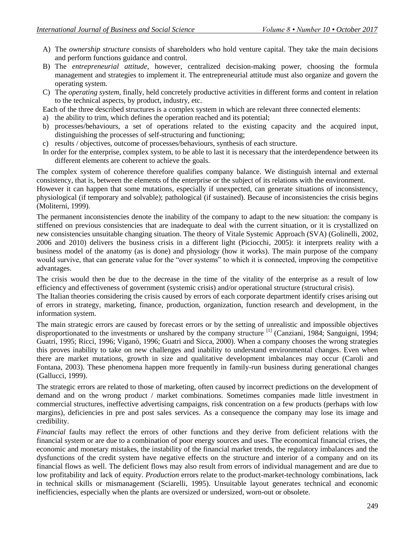- A) The *ownership structure* consists of shareholders who hold venture capital. They take the main decisions and perform functions guidance and control.
- B) The *entrepreneurial attitude*, however, centralized decision-making power, choosing the formula management and strategies to implement it. The entrepreneurial attitude must also organize and govern the operating system.
- C) The *operating system*, finally, held concretely productive activities in different forms and content in relation to the technical aspects, by product, industry, etc.

Each of the three described structures is a complex system in which are relevant three connected elements:

- a) the ability to trim, which defines the operation reached and its potential;
- b) processes/behaviours, a set of operations related to the existing capacity and the acquired input, distinguishing the processes of self-structuring and functioning;
- c) results / objectives, outcome of processes/behaviours, synthesis of each structure.
- In order for the enterprise, complex system, to be able to last it is necessary that the interdependence between its different elements are coherent to achieve the goals.

The complex system of coherence therefore qualifies company balance. We distinguish internal and external consistency, that is, between the elements of the enterprise or the subject of its relations with the environment.

However it can happen that some mutations, especially if unexpected, can generate situations of inconsistency, physiological (if temporary and solvable); pathological (if sustained). Because of inconsistencies the crisis begins (Moliterni, 1999).

The permanent inconsistencies denote the inability of the company to adapt to the new situation: the company is stiffened on previous consistencies that are inadequate to deal with the current situation, or it is crystallized on new consistencies unsuitable changing situation. The theory of Vitale Systemic Approach (SVA) (Golinelli, 2002, 2006 and 2010) delivers the business crisis in a different light (Piciocchi, 2005): it interprets reality with a business model of the anatomy (as is done) and physiology (how it works). The main purpose of the company would survive, that can generate value for the "over systems" to which it is connected, improving the competitive advantages.

The crisis would then be due to the decrease in the time of the vitality of the enterprise as a result of low efficiency and effectiveness of government (systemic crisis) and/or operational structure (structural crisis).

The Italian theories considering the crisis caused by errors of each corporate department identify crises arising out of errors in strategy, marketing, finance, production, organization, function research and development, in the information system.

The main strategic errors are caused by forecast errors or by the setting of unrealistic and impossible objectives disproportionated to the investments or unshared by the company structure <sup>[1]</sup> (Canziani, 1984; Sanguigni, 1994; Guatri, 1995; Ricci, 1996; Viganò, 1996; Guatri and Sicca, 2000). When a company chooses the wrong strategies this proves inability to take on new challenges and inability to understand environmental changes. Even when there are market mutations, growth in size and qualitative development imbalances may occur (Caroli and Fontana, 2003). These phenomena happen more frequently in family-run business during generational changes (Gallucci, 1999).

The strategic errors are related to those of marketing, often caused by incorrect predictions on the development of demand and on the wrong product / market combinations. Sometimes companies made little investment in commercial structures, ineffective advertising campaigns, risk concentration on a few products (perhaps with low margins), deficiencies in pre and post sales services. As a consequence the company may lose its image and credibility.

*Financial* faults may reflect the errors of other functions and they derive from deficient relations with the financial system or are due to a combination of poor energy sources and uses. The economical financial crises, the economic and monetary mistakes, the instability of the financial market trends, the regulatory imbalances and the dysfunctions of the credit system have negative effects on the structure and interior of a company and on its financial flows as well. The deficient flows may also result from errors of individual management and are due to low profitability and lack of equity. *Production* errors relate to the product-market-technology combinations, lack in technical skills or mismanagement (Sciarelli, 1995). Unsuitable layout generates technical and economic inefficiencies, especially when the plants are oversized or undersized, worn-out or obsolete.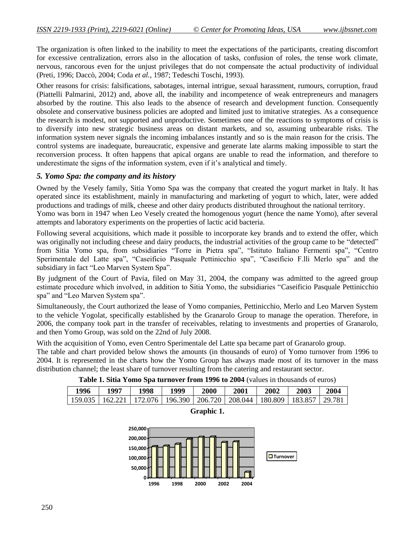The organization is often linked to the inability to meet the expectations of the participants, creating discomfort for excessive centralization, errors also in the allocation of tasks, confusion of roles, the tense work climate, nervous, rancorous even for the unjust privileges that do not compensate the actual productivity of individual (Preti, 1996; Daccò, 2004; Coda *et al.*, 1987; Tedeschi Toschi, 1993).

Other reasons for crisis: falsifications, sabotages, internal intrigue, sexual harassment, rumours, corruption, fraud (Piattelli Palmarini, 2012) and, above all, the inability and incompetence of weak entrepreneurs and managers absorbed by the routine. This also leads to the absence of research and development function. Consequently obsolete and conservative business policies are adopted and limited just to imitative strategies. As a consequence the research is modest, not supported and unproductive. Sometimes one of the reactions to symptoms of crisis is to diversify into new strategic business areas on distant markets, and so, assuming unbearable risks. The information system never signals the incoming imbalances instantly and so is the main reason for the crisis. The control systems are inadequate, bureaucratic, expensive and generate late alarms making impossible to start the reconversion process. It often happens that apical organs are unable to read the information, and therefore to underestimate the signs of the information system, even if it's analytical and timely.

#### *5. Yomo Spa: the company and its history*

Owned by the Vesely family, Sitia Yomo Spa was the company that created the yogurt market in Italy. It has operated since its establishment, mainly in manufacturing and marketing of yogurt to which, later, were added productions and tradings of milk, cheese and other dairy products distributed throughout the national territory.

Yomo was born in 1947 when Leo Vesely created the homogenous yogurt (hence the name Yomo), after several attempts and laboratory experiments on the properties of lactic acid bacteria.

Following several acquisitions, which made it possible to incorporate key brands and to extend the offer, which was originally not including cheese and dairy products, the industrial activities of the group came to be "detected" from Sitia Yomo spa, from subsidiaries "Torre in Pietra spa", "Istituto Italiano Fermenti spa", "Centro Sperimentale del Latte spa", "Caseificio Pasquale Pettinicchio spa", "Caseificio F.lli Merlo spa" and the subsidiary in fact "Leo Marven System Spa".

By judgment of the Court of Pavia, filed on May 31, 2004, the company was admitted to the agreed group estimate procedure which involved, in addition to Sitia Yomo, the subsidiaries "Caseificio Pasquale Pettinicchio spa" and "Leo Marven System spa".

Simultaneously, the Court authorized the lease of Yomo companies, Pettinicchio, Merlo and Leo Marven System to the vehicle Yogolat, specifically established by the Granarolo Group to manage the operation. Therefore, in 2006, the company took part in the transfer of receivables, relating to investments and properties of Granarolo, and then Yomo Group, was sold on the 22nd of July 2008.

With the acquisition of Yomo, even Centro Sperimentale del Latte spa became part of Granarolo group.

The table and chart provided below shows the amounts (in thousands of euro) of Yomo turnover from 1996 to 2004. It is represented in the charts how the Yomo Group has always made most of its turnover in the mass distribution channel; the least share of turnover resulting from the catering and restaurant sector.

| Table 1. Sitia Yomo Spa turnover from 1996 to 2004 (values in thousands of euros) |  |
|-----------------------------------------------------------------------------------|--|
|-----------------------------------------------------------------------------------|--|

| 1996 | 199" | 1998                                                                                   | '999 | 2000 | 2001 | 2002 | 2003 | 2004 |
|------|------|----------------------------------------------------------------------------------------|------|------|------|------|------|------|
|      |      | 159.035   162.221   172.076   196.390   206.720   208.044   180.809   183.857   29.781 |      |      |      |      |      |      |



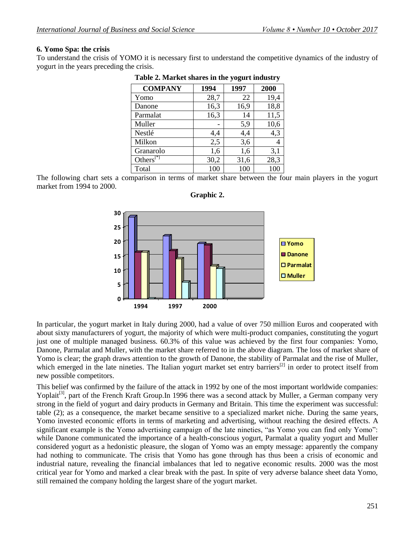#### **6. Yomo Spa: the crisis**

To understand the crisis of YOMO it is necessary first to understand the competitive dynamics of the industry of yogurt in the years preceding the crisis.

| <b>COMPANY</b>          | 1994 | 1997 | 2000 |
|-------------------------|------|------|------|
| Yomo                    | 28,7 | 22   | 19,4 |
| Danone                  | 16,3 | 16,9 | 18,8 |
| Parmalat                | 16,3 | 14   | 11,5 |
| Muller                  |      | 5,9  | 10,6 |
| Nestlé                  | 4,4  | 4,4  | 4,3  |
| Milkon                  | 2,5  | 3,6  |      |
| Granarolo               | 1,6  | 1,6  | 3,1  |
| Others $[$ <sup>*</sup> | 30,2 | 31,6 | 28,3 |
| Total                   | 100  | 100  | 100  |

The following chart sets a comparison in terms of market share between the four main players in the yogurt market from 1994 to 2000.



**Graphic 2.**

In particular, the yogurt market in Italy during 2000, had a value of over 750 million Euros and cooperated with about sixty manufacturers of yogurt, the majority of which were multi-product companies, constituting the yogurt just one of multiple managed business. 60.3% of this value was achieved by the first four companies: Yomo, Danone, Parmalat and Muller, with the market share referred to in the above diagram. The loss of market share of Yomo is clear; the graph draws attention to the growth of Danone, the stability of Parmalat and the rise of Muller, which emerged in the late nineties. The Italian yogurt market set entry barriers $^{[2]}$  in order to protect itself from new possible competitors.

This belief was confirmed by the failure of the attack in 1992 by one of the most important worldwide companies: Yoplait<sup>[3]</sup>, part of the French Kraft Group.In 1996 there was a second attack by Muller, a German company very strong in the field of yogurt and dairy products in Germany and Britain. This time the experiment was successful: table (2); as a consequence, the market became sensitive to a specialized market niche. During the same years, Yomo invested economic efforts in terms of marketing and advertising, without reaching the desired effects. A significant example is the Yomo advertising campaign of the late nineties, "as Yomo you can find only Yomo": while Danone communicated the importance of a health-conscious yogurt, Parmalat a quality yogurt and Muller considered yogurt as a hedonistic pleasure, the slogan of Yomo was an empty message: apparently the company had nothing to communicate. The crisis that Yomo has gone through has thus been a crisis of economic and industrial nature, revealing the financial imbalances that led to negative economic results. 2000 was the most critical year for Yomo and marked a clear break with the past. In spite of very adverse balance sheet data Yomo, still remained the company holding the largest share of the yogurt market.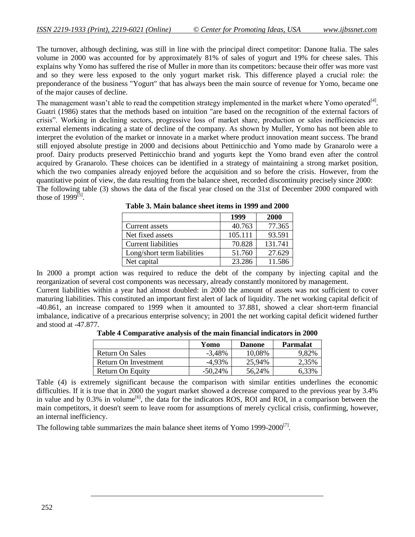The turnover, although declining, was still in line with the principal direct competitor: Danone Italia. The sales volume in 2000 was accounted for by approximately 81% of sales of yogurt and 19% for cheese sales. This explains why Yomo has suffered the rise of Muller in more than its competitors: because their offer was more vast and so they were less exposed to the only yogurt market risk. This difference played a crucial role: the preponderance of the business "Yogurt" that has always been the main source of revenue for Yomo, became one of the major causes of decline.

The management wasn't able to read the competition strategy implemented in the market where Yomo operated<sup>[4]</sup>. Guatri (1986) states that the methods based on intuition "are based on the recognition of the external factors of crisis". Working in declining sectors, progressive loss of market share, production or sales inefficiencies are external elements indicating a state of decline of the company. As shown by Muller, Yomo has not been able to interpret the evolution of the market or innovate in a market where product innovation meant success. The brand still enjoyed absolute prestige in 2000 and decisions about Pettinicchio and Yomo made by Granarolo were a proof. Dairy products preserved Pettinicchio brand and yogurts kept the Yomo brand even after the control acquired by Granarolo. These choices can be identified in a strategy of maintaining a strong market position, which the two companies already enjoyed before the acquisition and so before the crisis. However, from the quantitative point of view, the data resulting from the balance sheet, recorded discontinuity precisely since 2000: The following table (3) shows the data of the fiscal year closed on the 31st of December 2000 compared with those of  $1999^{[5]}$ .

|                             | 1999    | <b>2000</b> |
|-----------------------------|---------|-------------|
| Current assets              | 40.763  | 77.365      |
| Net fixed assets            | 105.111 | 93.591      |
| <b>Current liabilities</b>  | 70.828  | 131.741     |
| Long/short term liabilities | 51.760  | 27.629      |
| Net capital                 | 23.286  | 11.586      |

**Table 3. Main balance sheet items in 1999 and 2000**

In 2000 a prompt action was required to reduce the debt of the company by injecting capital and the reorganization of several cost components was necessary, already constantly monitored by management.

Current liabilities within a year had almost doubled: in 2000 the amount of assets was not sufficient to cover maturing liabilities. This constituted an important first alert of lack of liquidity. The net working capital deficit of -40.861, an increase compared to 1999 when it amounted to 37.881, showed a clear short-term financial imbalance, indicative of a precarious enterprise solvency; in 2001 the net working capital deficit widened further and stood at -47.877.

**Table 4 Comparative analysis of the main financial indicators in 2000**

|                      | Yomo       | <b>Danone</b> | <b>Parmalat</b> |
|----------------------|------------|---------------|-----------------|
| Return On Sales      | $-3,48%$   | 10,08%        | 9,82%           |
| Return On Investment | $-4.93\%$  | 25,94%        | 2,35%           |
| Return On Equity     | $-50.24\%$ | 56,24%        | 6,33%           |

Table (4) is extremely significant because the comparison with similar entities underlines the economic difficulties. If it is true that in 2000 the yogurt market showed a decrease compared to the previous year by 3.4% in value and by  $0.3\%$  in volume<sup>[6]</sup>, the data for the indicators ROS, ROI and ROI, in a comparison between the main competitors, it doesn't seem to leave room for assumptions of merely cyclical crisis, confirming, however, an internal inefficiency.

The following table summarizes the main balance sheet items of Yomo  $1999-2000^{[7]}$ .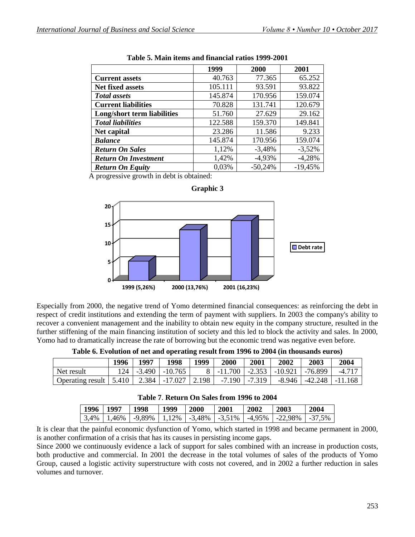|                             | 1999    | 2000      | 2001      |
|-----------------------------|---------|-----------|-----------|
| <b>Current assets</b>       | 40.763  | 77.365    | 65.252    |
| <b>Net fixed assets</b>     | 105.111 | 93.591    | 93.822    |
| <b>Total assets</b>         | 145.874 | 170.956   | 159.074   |
| <b>Current liabilities</b>  | 70.828  | 131.741   | 120.679   |
| Long/short term liabilities | 51.760  | 27.629    | 29.162    |
| <b>Total liabilities</b>    | 122.588 | 159.370   | 149.841   |
| Net capital                 | 23.286  | 11.586    | 9.233     |
| <b>Balance</b>              | 145.874 | 170.956   | 159.074   |
| <b>Return On Sales</b>      | 1,12%   | $-3,48%$  | $-3,52%$  |
| <b>Return On Investment</b> | 1,42%   | $-4,93%$  | $-4,28%$  |
| <b>Return On Equity</b>     | 0,03%   | $-50,24%$ | $-19,45%$ |

**Graphic 3**

| Table 5. Main items and financial ratios 1999-2001 |  |  |
|----------------------------------------------------|--|--|
|----------------------------------------------------|--|--|

A progressive growth in debt is obtained:



Especially from 2000, the negative trend of Yomo determined financial consequences: as reinforcing the debt in respect of credit institutions and extending the term of payment with suppliers. In 2003 the company's ability to recover a convenient management and the inability to obtain new equity in the company structure, resulted in the further stiffening of the main financing institution of society and this led to block the activity and sales. In 2000,

Yomo had to dramatically increase the rate of borrowing but the economic trend was negative even before.

| Table 6. Evolution of net and operating result from 1996 to 2004 (in thousands euros) |  |  |  |  |  |
|---------------------------------------------------------------------------------------|--|--|--|--|--|
|---------------------------------------------------------------------------------------|--|--|--|--|--|

|                                                    | 1996 | 1997 | 1998                     | 1999 | 2000              | 2001 | 2002 | 2003                             | 2004   |
|----------------------------------------------------|------|------|--------------------------|------|-------------------|------|------|----------------------------------|--------|
| Net result                                         |      |      | $124$   -3.490   -10.765 |      |                   |      |      | 8 -11.700 -2.353 -10.921 -76.899 | -4.717 |
| Operating result   5.410   2.384   -17.027   2.198 |      |      |                          |      | $-7.190$ $-7.319$ |      |      | $-8.946$   $-42.248$   $-11.168$ |        |

| Table 7. Return On Sales from 1996 to 2004 |  |  |  |  |  |  |
|--------------------------------------------|--|--|--|--|--|--|
|--------------------------------------------|--|--|--|--|--|--|

| 1996   1997 | 1998 | 1999 | <b>2000</b> | 2001 | 2002 | 2003                                                                                                                       | 2004 |
|-------------|------|------|-------------|------|------|----------------------------------------------------------------------------------------------------------------------------|------|
|             |      |      |             |      |      | $\mid$ 3,4% $\mid$ 1,46% $\mid$ -9,89% $\mid$ 1,12% $\mid$ -3,48% $\mid$ -3,51% $\mid$ -4,95% $\mid$ -22,98% $\mid$ -37,5% |      |

It is clear that the painful economic dysfunction of Yomo, which started in 1998 and became permanent in 2000, is another confirmation of a crisis that has its causes in persisting income gaps.

Since 2000 we continuously evidence a lack of support for sales combined with an increase in production costs, both productive and commercial. In 2001 the decrease in the total volumes of sales of the products of Yomo Group, caused a logistic activity superstructure with costs not covered, and in 2002 a further reduction in sales volumes and turnover.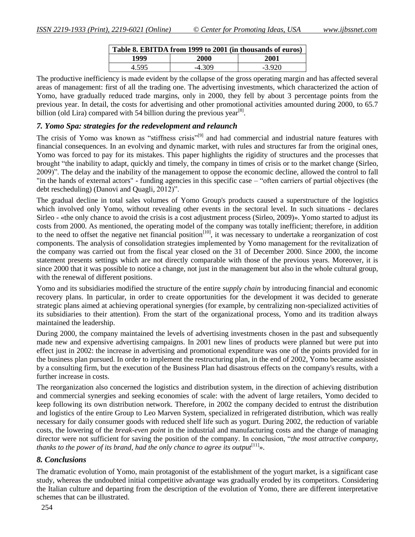| Table 8. EBITDA from 1999 to 2001 (in thousands of euros) |          |          |
|-----------------------------------------------------------|----------|----------|
| 1999                                                      | 2000     | 2001     |
| 4.595                                                     | $-4.309$ | $-3.920$ |

The productive inefficiency is made evident by the collapse of the gross operating margin and has affected several areas of management: first of all the trading one. The advertising investments, which characterized the action of Yomo, have gradually reduced trade margins, only in 2000, they fell by about 3 percentage points from the previous year. In detail, the costs for advertising and other promotional activities amounted during 2000, to 65.7 billion (old Lira) compared with 54 billion during the previous year $^{[8]}$ .

### *7. Yomo Spa: strategies for the redevelopment and relaunch*

The crisis of Yomo was known as "stiffness crisis"<sup>[9]</sup> and had commercial and industrial nature features with financial consequences. In an evolving and dynamic market, with rules and structures far from the original ones, Yomo was forced to pay for its mistakes. This paper highlights the rigidity of structures and the processes that brought "the inability to adapt, quickly and timely, the company in times of crisis or to the market change (Sirleo, 2009)". The delay and the inability of the management to oppose the economic decline, allowed the control to fall "in the hands of external actors" - funding agencies in this specific case – "often carriers of partial objectives (the debt rescheduling) (Danovi and Quagli, 2012)".

The gradual decline in total sales volumes of Yomo Group's products caused a superstructure of the logistics which involved only Yomo, without revealing other events in the sectoral level. In such situations - declares Sirleo - «the only chance to avoid the crisis is a cost adjustment process (Sirleo, 2009)». Yomo started to adjust its costs from 2000. As mentioned, the operating model of the company was totally inefficient; therefore, in addition to the need to offset the negative net financial position $[10]$ , it was necessary to undertake a reorganization of cost components. The analysis of consolidation strategies implemented by Yomo management for the revitalization of the company was carried out from the fiscal year closed on the 31 of December 2000. Since 2000, the income statement presents settings which are not directly comparable with those of the previous years. Moreover, it is since 2000 that it was possible to notice a change, not just in the management but also in the whole cultural group, with the renewal of different positions.

Yomo and its subsidiaries modified the structure of the entire *supply chain* by introducing financial and economic recovery plans. In particular, in order to create opportunities for the development it was decided to generate strategic plans aimed at achieving operational synergies (for example, by centralizing non-specialized activities of its subsidiaries to their attention). From the start of the organizational process, Yomo and its tradition always maintained the leadership.

During 2000, the company maintained the levels of advertising investments chosen in the past and subsequently made new and expensive advertising campaigns. In 2001 new lines of products were planned but were put into effect just in 2002: the increase in advertising and promotional expenditure was one of the points provided for in the business plan pursued. In order to implement the restructuring plan, in the end of 2002, Yomo became assisted by a consulting firm, but the execution of the Business Plan had disastrous effects on the company's results, with a further increase in costs.

The reorganization also concerned the logistics and distribution system, in the direction of achieving distribution and commercial synergies and seeking economies of scale: with the advent of large retailers, Yomo decided to keep following its own distribution network. Therefore, in 2002 the company decided to entrust the distribution and logistics of the entire Group to Leo Marven System, specialized in refrigerated distribution, which was really necessary for daily consumer goods with reduced shelf life such as yogurt. During 2002, the reduction of variable costs, the lowering of the *break-even point* in the industrial and manufacturing costs and the change of managing director were not sufficient for saving the position of the company. In conclusion, "*the most attractive company, thanks to the power of its brand, had the only chance to agree its output*<sup>[11]</sup>».

# *8. Conclusions*

The dramatic evolution of Yomo, main protagonist of the establishment of the yogurt market, is a significant case study, whereas the undoubted initial competitive advantage was gradually eroded by its competitors. Considering the Italian culture and departing from the description of the evolution of Yomo, there are different interpretative schemes that can be illustrated.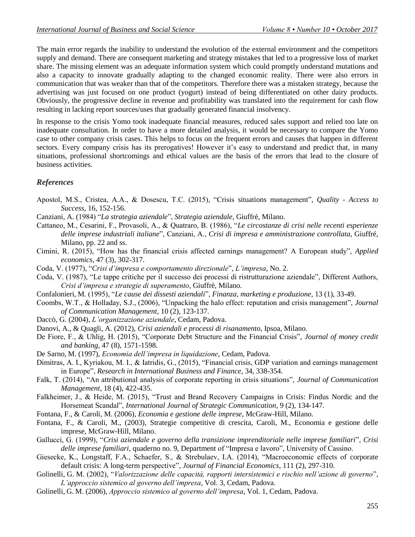The main error regards the inability to understand the evolution of the external environment and the competitors supply and demand. There are consequent marketing and strategy mistakes that led to a progressive loss of market share. The missing element was an adequate information system which could promptly understand mutations and also a capacity to innovate gradually adapting to the changed economic reality. There were also errors in communication that was weaker than that of the competitors. Therefore there was a mistaken strategy, because the advertising was just focused on one product (yogurt) instead of being differentiated on other dairy products. Obviously, the progressive decline in revenue and profitability was translated into the requirement for cash flow resulting in lacking report sources/uses that gradually generated financial insolvency.

In response to the crisis Yomo took inadequate financial measures, reduced sales support and relied too late on inadequate consultation. In order to have a more detailed analysis, it would be necessary to compare the Yomo case to other company crisis cases. This helps to focus on the frequent errors and causes that happen in different sectors. Every company crisis has its prerogatives! However it's easy to understand and predict that, in many situations, professional shortcomings and ethical values are the basis of the errors that lead to the closure of business activities.

# *References*

- Apostol, M.S., Cristea, A.A., & Dosescu, T.C. (2015), "Crisis situations management", *Quality - Access to Success*, 16, 152-156.
- Canziani, A. (1984) "*La strategia aziendale*", *Strategia aziendale*, Giuffrè, Milano.
- Cattaneo, M., Cesarini, F., Provasoli, A., & Quatraro, B. (1986), "*Le circostanze di crisi nelle recenti esperienze delle imprese industriali italiane*", Canziani, A., *Crisi di impresa e amministrazione controllata*, Giuffré, Milano, pp. 22 and ss.
- Cimini, R. (2015), "How has the financial crisis affected earnings management? A European study", *Applied economics*, 47 (3), 302-317.
- Coda, V. (1977), "*Crisi d'impresa e comportamento direzionale*", *L'impresa*, No. 2.
- Coda, V. (1987), "Le tappe critiche per il successo dei processi di ristrutturazione aziendale", Different Authors, *Crisi d'impresa e strategie di superamento*, Giuffrè, Milano.
- Confalonieri, M. (1995), "*Le cause dei dissesti aziendali*", *Finanza, marketing e produzione*, 13 (1), 33-49.
- Coombs, W.T., & Holladay, S.J., (2006), "Unpacking the halo effect: reputation and crisis management", *Journal of Communication Management*, 10 (2), 123-137.
- Daccò, G. (2004), *L'organizzazione aziendale*, Cedam, Padova.
- Danovi, A., & Quagli, A. (2012), *Crisi aziendali e processi di risanamento*, Ipsoa, Milano.
- De Fiore, F., & Uhlig, H. (2015), "Corporate Debt Structure and the Financial Crisis", *Journal of money credit and banking*, 47 (8), 1571-1598.
- De Sarno, M. (1997), *Economia dell'impresa in liquidazione*, Cedam, Padova.
- Dimitras, A. I., Kyriakou, M. I., & Iatridis, G., (2015), "Financial crisis, GDP variation and earnings management in Europe", *Research in International Business and Finance*, 34, 338-354.
- Falk, T. (2014), "An attributional analysis of corporate reporting in crisis situations", *Journal of Communication Management*, 18 (4), 422-435.
- Falkheimer, J., & Heide, M. (2015), "Trust and Brand Recovery Campaigns in Crisis: Findus Nordic and the Horsemeat Scandal", *International Journal of Strategic Communication*, 9 (2), 134-147.
- Fontana, F., & Caroli, M. (2006), *Economia e gestione delle imprese*, McGraw-Hill, Milano.
- Fontana, F., & Caroli, M., (2003), Strategie competitive di crescita, Caroli, M., Economia e gestione delle imprese, McGraw-Hill, Milano.
- Gallucci, G. (1999), "*Crisi aziendale e governo della transizione imprenditoriale nelle imprese familiari*", *Crisi delle imprese familiari*, quaderno no. 9, Department of "Impresa e lavoro", University of Cassino.
- Giesecke, K., Longstaff, F.A., Schaefer, S., & Strebulaev, I.A. (2014), "Macroeconomic effects of corporate default crisis: A long-term perspective", *Journal of Financial Economics*, 111 (2), 297-310.
- Golinelli, G. M. (2002), "*Valorizzazione delle capacità, rapporti intersistemici e rischio nell'azione di governo*", *L'approccio sistemico al governo dell'impresa*, Vol. 3, Cedam, Padova.
- Golinelli, G. M. (2006), *Approccio sistemico al governo dell'impresa*, Vol. 1, Cedam, Padova.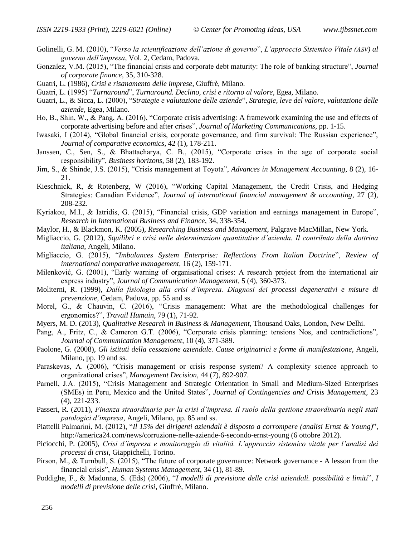- Golinelli, G. M. (2010), "*Verso la scientificazione dell'azione di governo*", *L'approccio Sistemico Vitale (ASV) al governo dell'impresa*, Vol. 2, Cedam, Padova.
- Gonzalez, V.M. (2015), "The financial crisis and corporate debt maturity: The role of banking structure", *Journal of corporate finance*, 35, 310-328.
- Guatri, L. (1986), *Crisi e risanamento delle imprese*, Giuffrè, Milano.
- Guatri, L. (1995) "*Turnaround*", *Turnaround. Declino, crisi e ritorno al valore*, Egea, Milano.
- Guatri, L., & Sicca, L. (2000), "*Strategie e valutazione delle aziende*", *Strategie, leve del valore, valutazione delle aziende*, Egea, Milano.
- Ho, B., Shin, W., & Pang, A. (2016), "Corporate crisis advertising: A framework examining the use and effects of corporate advertising before and after crises", *Journal of Marketing Communications*, pp. 1-15.
- Iwasaki, I (2014), "Global financial crisis, corporate governance, and firm survival: The Russian experience", *Journal of comparative economics*, 42 (1), 178-211.
- Janssen, C., Sen, S., & Bhattacharya, C. B., (2015), "Corporate crises in the age of corporate social responsibility", *Business horizons*, 58 (2), 183-192.
- Jim, S., & Shinde, J.S. (2015), "Crisis management at Toyota", *Advances in Management Accounting*, 8 (2), 16- 21.
- Kieschnick, R, & Rotenberg, W (2016), "Working Capital Management, the Credit Crisis, and Hedging Strategies: Canadian Evidence", *Journal of international financial management & accounting*, 27 (2), 208-232.
- Kyriakou, M.I., & Iatridis, G. (2015), "Financial crisis, GDP variation and earnings management in Europe", *Research in International Business and Finance*, 34, 338-354.
- Maylor, H., & Blackmon, K. (2005), *Researching Business and Management*, Palgrave MacMillan, New York.
- Migliaccio, G. (2012), *Squilibri e crisi nelle determinazioni quantitative d'azienda. Il contributo della dottrina italiana*, Angeli, Milano.
- Migliaccio, G. (2015), "*Imbalances System Enterprise: Reflections From Italian Doctrine*", *Review of international comparative management*, 16 (2), 159-171.
- Milenković, G. (2001), "Early warning of organisational crises: A research project from the international air express industry", *Journal of Communication Management*, 5 (4), 360-373.
- Moliterni, R. (1999), *Dalla fisiologia alla crisi d'impresa. Diagnosi dei processi degenerativi e misure di prevenzione*, Cedam, Padova, pp. 55 and ss.
- Morel, G., & Chauvin, C. (2016), "Crisis management: What are the methodological challenges for ergonomics?", *Travail Humain*, 79 (1), 71-92.
- Myers, M. D. (2013), *Qualitative Research in Business & Management*, Thousand Oaks, London, New Delhi.
- Pang, A., Fritz, C., & Cameron G.T. (2006), "Corporate crisis planning: tensions Nos, and contradictions", *Journal of Communication Management*, 10 (4), 371-389.
- Paolone, G. (2008), *Gli istituti della cessazione aziendale. Cause originatrici e forme di manifestazione*, Angeli, Milano, pp. 19 and ss.
- Paraskevas, A. (2006), "Crisis management or crisis response system? A complexity science approach to organizational crises", *Management Decision*, 44 (7), 892-907.
- Parnell, J.A. (2015), "Crisis Management and Strategic Orientation in Small and Medium-Sized Enterprises (SMEs) in Peru, Mexico and the United States", *Journal of Contingencies and Crisis Management*, 23 (4), 221-233.
- Passeri, R. (2011), *Finanza straordinaria per la crisi d'impresa. Il ruolo della gestione straordinaria negli stati patologici d'impresa*, Angeli, Milano, pp. 85 and ss.
- Piattelli Palmarini, M. (2012), "*Il 15% dei dirigenti aziendali è disposto a corrompere (analisi Ernst & Young)*", http://america24.com/news/corruzione-nelle-aziende-6-secondo-ernst-young (6 ottobre 2012).
- Piciocchi, P. (2005), *Crisi d'impresa e monitoraggio di vitalità. L'approccio sistemico vitale per l'analisi dei processi di crisi*, Giappichelli, Torino.
- Pirson, M., & Turnbull, S. (2015), "The future of corporate governance: Network governance A lesson from the financial crisis", *Human Systems Management*, 34 (1), 81-89.
- Poddighe, F., & Madonna, S. (Eds) (2006), "*I modelli di previsione delle crisi aziendali. possibilità e limiti*", *I modelli di previsione delle crisi*, Giuffrè, Milano.